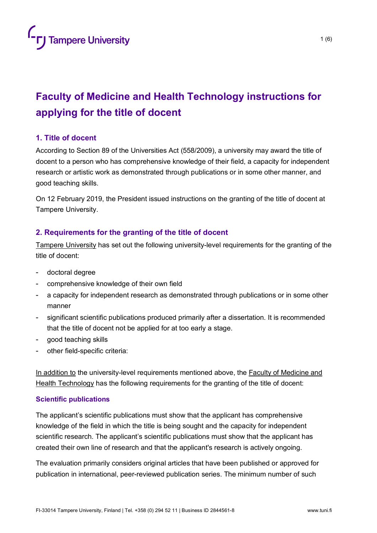# **Faculty of Medicine and Health Technology instructions for applying for the title of docent**

# **1. Title of docent**

According to Section 89 of the Universities Act (558/2009), a university may award the title of docent to a person who has comprehensive knowledge of their field, a capacity for independent research or artistic work as demonstrated through publications or in some other manner, and good teaching skills.

On 12 February 2019, the President issued instructions on the granting of the title of docent at Tampere University.

# **2. Requirements for the granting of the title of docent**

Tampere University has set out the following university-level requirements for the granting of the title of docent:

- doctoral degree
- comprehensive knowledge of their own field
- a capacity for independent research as demonstrated through publications or in some other manner
- significant scientific publications produced primarily after a dissertation. It is recommended that the title of docent not be applied for at too early a stage.
- good teaching skills
- other field-specific criteria:

In addition to the university-level requirements mentioned above, the Faculty of Medicine and Health Technology has the following requirements for the granting of the title of docent:

## **Scientific publications**

The applicant's scientific publications must show that the applicant has comprehensive knowledge of the field in which the title is being sought and the capacity for independent scientific research. The applicant's scientific publications must show that the applicant has created their own line of research and that the applicant's research is actively ongoing.

The evaluation primarily considers original articles that have been published or approved for publication in international, peer-reviewed publication series. The minimum number of such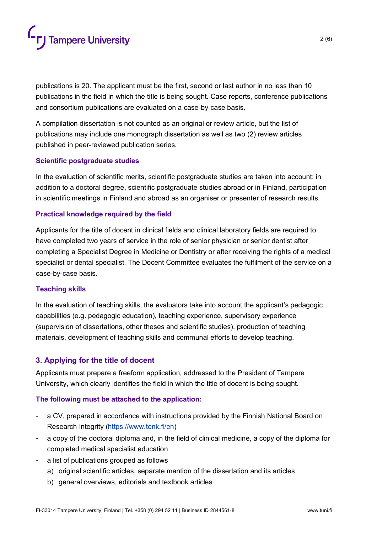

publications is 20. The applicant must be the first, second or last author in no less than 10 publications in the field in which the title is being sought. Case reports, conference publications and consortium publications are evaluated on a case-by-case basis.

A compilation dissertation is not counted as an original or review article, but the list of publications may include one monograph dissertation as well as two (2) review articles published in peer-reviewed publication series.

#### **Scientific postgraduate studies**

In the evaluation of scientific merits, scientific postgraduate studies are taken into account: in addition to a doctoral degree, scientific postgraduate studies abroad or in Finland, participation in scientific meetings in Finland and abroad as an organiser or presenter of research results.

#### **Practical knowledge required by the field**

Applicants for the title of docent in clinical fields and clinical laboratory fields are required to have completed two years of service in the role of senior physician or senior dentist after completing a Specialist Degree in Medicine or Dentistry or after receiving the rights of a medical specialist or dental specialist. The Docent Committee evaluates the fulfilment of the service on a case-by-case basis.

#### **Teaching skills**

In the evaluation of teaching skills, the evaluators take into account the applicant's pedagogic capabilities (e.g. pedagogic education), teaching experience, supervisory experience (supervision of dissertations, other theses and scientific studies), production of teaching materials, development of teaching skills and communal efforts to develop teaching.

#### **3. Applying for the title of docent**

Applicants must prepare a freeform application, addressed to the President of Tampere University, which clearly identifies the field in which the title of docent is being sought.

#### **The following must be attached to the application:**

- a CV, prepared in accordance with instructions provided by the Finnish National Board on Research Integrity [\(https://www.tenk.fi/en\)](https://www.tenk.fi/en)
- a copy of the doctoral diploma and, in the field of clinical medicine, a copy of the diploma for completed medical specialist education
- a list of publications grouped as follows
	- a) original scientific articles, separate mention of the dissertation and its articles
	- b) general overviews, editorials and textbook articles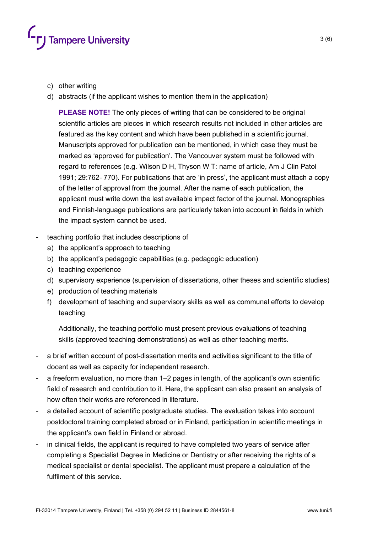

- c) other writing
- d) abstracts (if the applicant wishes to mention them in the application)

**PLEASE NOTE!** The only pieces of writing that can be considered to be original scientific articles are pieces in which research results not included in other articles are featured as the key content and which have been published in a scientific journal. Manuscripts approved for publication can be mentioned, in which case they must be marked as 'approved for publication'. The Vancouver system must be followed with regard to references (e.g. Wilson D H, Thyson W T: name of article, Am J Clin Patol 1991; 29:762- 770). For publications that are 'in press', the applicant must attach a copy of the letter of approval from the journal. After the name of each publication, the applicant must write down the last available impact factor of the journal. Monographies and Finnish-language publications are particularly taken into account in fields in which the impact system cannot be used.

- teaching portfolio that includes descriptions of
	- a) the applicant's approach to teaching
	- b) the applicant's pedagogic capabilities (e.g. pedagogic education)
	- c) teaching experience
	- d) supervisory experience (supervision of dissertations, other theses and scientific studies)
	- e) production of teaching materials
	- f) development of teaching and supervisory skills as well as communal efforts to develop teaching

Additionally, the teaching portfolio must present previous evaluations of teaching skills (approved teaching demonstrations) as well as other teaching merits.

- a brief written account of post-dissertation merits and activities significant to the title of docent as well as capacity for independent research.
- a freeform evaluation, no more than 1–2 pages in length, of the applicant's own scientific field of research and contribution to it. Here, the applicant can also present an analysis of how often their works are referenced in literature.
- a detailed account of scientific postgraduate studies. The evaluation takes into account postdoctoral training completed abroad or in Finland, participation in scientific meetings in the applicant's own field in Finland or abroad.
- in clinical fields, the applicant is required to have completed two years of service after completing a Specialist Degree in Medicine or Dentistry or after receiving the rights of a medical specialist or dental specialist. The applicant must prepare a calculation of the fulfilment of this service.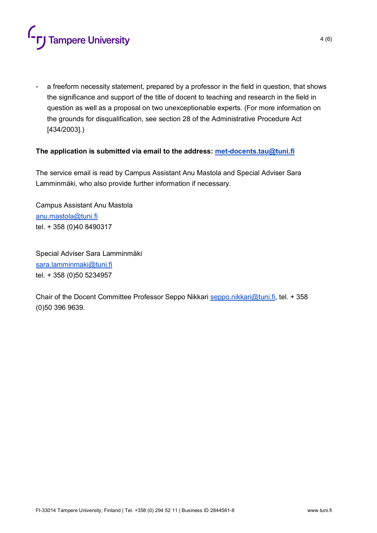

- a freeform necessity statement, prepared by a professor in the field in question, that shows the significance and support of the title of docent to teaching and research in the field in question as well as a proposal on two unexceptionable experts. (For more information on the grounds for disqualification, see section 28 of the Administrative Procedure Act [434/2003].)

#### **The application is submitted via email to the address: [met-docents.tau@tuni.fi](mailto:met-docents.tau@tuni.fi)**

The service email is read by Campus Assistant Anu Mastola and Special Adviser Sara Lamminmäki, who also provide further information if necessary.

Campus Assistant Anu Mastola [anu.mastola@tuni.fi](mailto:anu.mastola@tuni.fi) tel. + 358 (0)40 8490317

Special Adviser Sara Lamminmäki [sara.lamminmaki@tuni.fi](mailto:sara.lamminmaki@tuni.fi) tel. + 358 (0)50 5234957

Chair of the Docent Committee Professor Seppo Nikkari [seppo.nikkari@tuni.fi,](mailto:seppo.nikkari@tuni.fi) tel. + 358 (0)50 396 9639.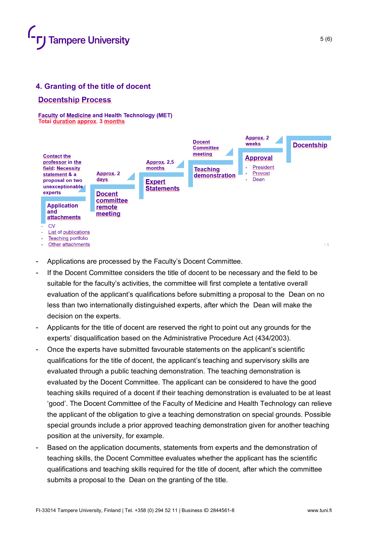

## **4. Granting of the title of docent**

#### **Docentship Process**

**Faculty of Medicine and Health Technology (MET) Total duration approx. 3 months** 



- Applications are processed by the Faculty's Docent Committee.
- If the Docent Committee considers the title of docent to be necessary and the field to be suitable for the faculty's activities, the committee will first complete a tentative overall evaluation of the applicant's qualifications before submitting a proposal to the Dean on no less than two internationally distinguished experts, after which the Dean will make the decision on the experts.
- Applicants for the title of docent are reserved the right to point out any grounds for the experts' disqualification based on the Administrative Procedure Act (434/2003).
- Once the experts have submitted favourable statements on the applicant's scientific qualifications for the title of docent, the applicant's teaching and supervisory skills are evaluated through a public teaching demonstration. The teaching demonstration is evaluated by the Docent Committee. The applicant can be considered to have the good teaching skills required of a docent if their teaching demonstration is evaluated to be at least 'good'. The Docent Committee of the Faculty of Medicine and Health Technology can relieve the applicant of the obligation to give a teaching demonstration on special grounds. Possible special grounds include a prior approved teaching demonstration given for another teaching position at the university, for example.
- Based on the application documents, statements from experts and the demonstration of teaching skills, the Docent Committee evaluates whether the applicant has the scientific qualifications and teaching skills required for the title of docent, after which the committee submits a proposal to the Dean on the granting of the title.

5 (6)